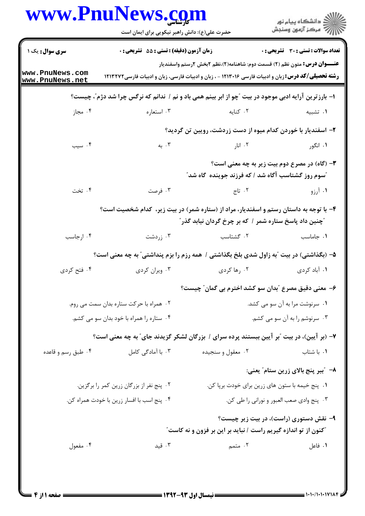| www.PnuNews.com                    | حضرت علی(ع): دانش راهبر نیکویی برای ایمان است    |                                                                                                                                                                                                 | ان دانشگاه پيام نور<br> 7  مرکز آزمون وسنجش |  |
|------------------------------------|--------------------------------------------------|-------------------------------------------------------------------------------------------------------------------------------------------------------------------------------------------------|---------------------------------------------|--|
| سری سوال: یک ۱                     | <b>زمان آزمون (دقیقه) : تستی : 55 تشریحی : 0</b> |                                                                                                                                                                                                 | تعداد سوالات : تستى : 30 ٪ تشريحي : 0       |  |
| www.PnuNews.com<br>www.PnuNews.net |                                                  | <b>عنــــوان درس:</b> متون نظم (٢) قسمت دوم: شاهنامه(٢)،نظم ٢بخش ٢رستم واسفنديار<br><b>رشته تحصیلی/کد درس:</b> زبان و ادبیات فارسی ۱۲۱۳۰۱۶ - ، زبان و ادبیات فارسی، زبان و ادبیات فارسی ۱۲۱۳۲۷۲ |                                             |  |
|                                    |                                                  | ا- بارزترین آرایه ادبی موجود در بیت ″چو از ابر بینم همی باد و نم / ندانم که نرگس چرا شد دژم″، چیست؟                                                                                             |                                             |  |
| ۰۴ مجاز                            | ۰۳ استعاره                                       | ۰۲ کنایه و در استان که استان که استان که استان که استان که استان که استان که استان که استان که استان                                                                                            | ٠١ تشبيه                                    |  |
|                                    |                                                  | ۲- اسفندیار با خوردن کدام میوه از دست زردشت، رویین تن گردید؟                                                                                                                                    |                                             |  |
| ۰۴ سیب                             | ۰۳ به                                            | ۰۲ انار اندار و با استفاده باشد و با استفاده باشد که با استفاده باشد که باشد که با استفاده باشد که ب                                                                                            | ۰۱ انگور                                    |  |
|                                    |                                                  | ۳- (گاه) در مصرع دوم بیت زیر به چه معنی است؟<br><b>"سوم روز گشتاسب آگاه شد / که فرزند جوینده گاه شد</b> "                                                                                       |                                             |  |
| ۰۴ تخت                             | ۰۳ فرصت                                          | ۰۲ تاج                                                                                                                                                                                          | ۰۱ آرزو                                     |  |
|                                    |                                                  | ۴- با توجه به داستان رستم و اسفندیار، مراد از (ستاره شمر) در بیت زیر، کدام شخصیت است؟<br><i>"</i> چنین داد پاسخ ستاره شمر / که بر چرخ گردان نیابد گذر <i>"</i>                                  |                                             |  |
| ۰۴ ارجاسب                          | ۰۳ زردشت                                         | ۰۲ گشتاسب                                                                                                                                                                                       | ٠١. جاماسب                                  |  |
|                                    |                                                  | ۵– (بگذاشتی) در بیت آبه زاول شدی بلخ بگذاشتی / همه رزم را بزم پنداشتی ّ به چه معنی است؟                                                                                                         |                                             |  |
| ۰۴ فتح کردی                        | ۰۳ ویران کردی                                    | ۰۲ رها کردی                                                                                                                                                                                     | ۰۱ آباد کردی                                |  |
|                                    |                                                  | ۶– معنی دقیق مصرع ؒبدان سو کشد اخترم بی گمان ؒ چیست؟                                                                                                                                            |                                             |  |
|                                    | ٠٢ همراه با حركت ستاره بدان سمت مي روم.          |                                                                                                                                                                                                 | ٠١ سرنوشت مرا به آن سو مي كشد.              |  |
|                                    | ۰۴ ستاره را همراه با خود بدان سو می کشم.         | ۰۳ سرنوشم را به آن سو می کشم.                                                                                                                                                                   |                                             |  |
|                                    |                                                  | ۷- (بر آیین)، در بیت "بر آیین ببستند پرده سرای / بزرگان لشکر گزیدند جای" به چه معنی است؟                                                                                                        |                                             |  |
| ۰۴ طبق رسم و قاعده                 | ۰۳ با آمادگی کامل                                | ۰۲ معقول و سنجيده                                                                                                                                                                               | ۰۱ با شتاب                                  |  |
|                                    |                                                  |                                                                                                                                                                                                 | ٨− ″ببر پنج بالای زرین ستام″ یعنی:          |  |
|                                    | ۰۲ پنج نفر از بزرگان زرین کمر را برگزین.         | ۰۱ پنج خیمه با ستون های زرین برای خودت برپا کن.                                                                                                                                                 |                                             |  |
|                                    | ۰۴ پنج اسب با افسار زرين با خودت همراه كن.       |                                                                                                                                                                                                 | ۰۳ پنج وادي صعب العبور و نوراني را طي كن.   |  |
|                                    |                                                  | "کنون از تو اندازه گیریم راست / نباید بر این بر فزون و نه کاست"                                                                                                                                 | ۹- نقش دستوری (راست)، در بیت زیر چیست؟      |  |
| ۰۴ مفعول                           | ۰۳ قید                                           | ۲. متمم                                                                                                                                                                                         | ۰۱ فاعل                                     |  |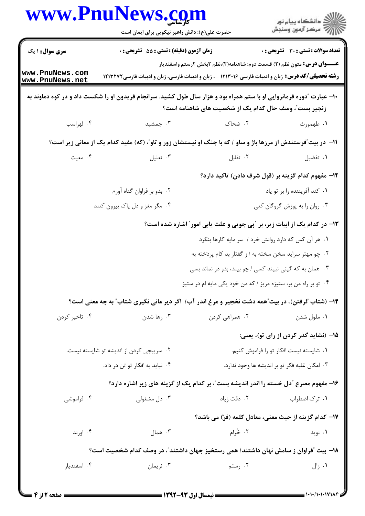|                                          | www.PnuNews.com<br>حضرت علی(ع): دانش راهبر نیکویی برای ایمان است                                                     |                                                                                      | ڪ دانشڪاه پيا <sub>م</sub> نور<br>۾ سرڪز آزمون وسنجش |  |
|------------------------------------------|----------------------------------------------------------------------------------------------------------------------|--------------------------------------------------------------------------------------|------------------------------------------------------|--|
| سری سوال : ۱ یک                          | <b>زمان آزمون (دقیقه) : تستی : 55 تشریحی : 0</b>                                                                     |                                                                                      | <b>تعداد سوالات : تستي : 30 ٪ تشريحي : 0</b>         |  |
| www.PnuNews.com<br>www.PnuNews.net       | <b>رشته تحصیلی/کد درس:</b> زبان و ادبیات فارسی ۱۲۱۳۰۱۶ - ، زبان و ادبیات فارسی، زبان و ادبیات فارسی ۱۲۱۳۲۷۲          | <b>عنــــوان درس:</b> متون نظم (٢) قسمت دوم: شاهنامه(٢)،نظم ٢بخش ٢رستم واسفنديار     |                                                      |  |
|                                          | +۱- عبارت "دوره فرمانروایی او با ستم همراه بود و هزار سال طول کشید. سرانجام فریدون او را شکست داد و در کوه دماوند به | زنجیر بست ؒ، وصف حال کدام یک از شخصیت های شاهنامه است؟                               |                                                      |  |
| ۰۴ لهراسب                                | ۰۳ جمشید                                                                                                             | ۲. ضحاک                                                                              | ١. طهمورث                                            |  |
|                                          | 11- در بیت ّفرستندش از مرزها باژ و ساو / که با جنگ او نیستشان زور و تاو ّ، (که) مفید کدام یک از معانی زیر است؟       |                                                                                      |                                                      |  |
| ۰۴ معیت                                  | ۰۳ تعلیل                                                                                                             | ۰۲ تقابل                                                                             | ٠١ تفضيل                                             |  |
|                                          |                                                                                                                      |                                                                                      | ۱۲– مفهوم کدام گزینه بر (قول شرف دادن) تاکید دارد؟   |  |
|                                          | ۰۲ بدو بر فراوان گناه آورم                                                                                           |                                                                                      | ٠١ كند آفريننده را بر تو ياد                         |  |
|                                          | ۰۴ مگر مغز و دل پاک بیرون کنند                                                                                       |                                                                                      | ۰۳ روان را به پوزش گروگان کنی                        |  |
|                                          |                                                                                                                      | ۱۳- در کدام یک از ابیات زیر، بر آپی جویی و علت یابی امور ؒ اشاره شده است؟            |                                                      |  |
|                                          |                                                                                                                      | ۰۱ هر آن کس که دارد روانش خرد / سر مایه کارها بنگرد                                  |                                                      |  |
|                                          |                                                                                                                      | ۰۲ چو مهتر سراید سخن سخته به / ز گفتار بد کام پردَخته به                             |                                                      |  |
|                                          |                                                                                                                      | ۰۳ همان به که گیتی نبیند کسی / چو بیند، بدو در نماند بسی                             |                                                      |  |
|                                          |                                                                                                                      | ۰۴ تو بر راه من بر، ستیزه مریز / که من خود یکی مایه ام در ستیز                       |                                                      |  |
|                                          | ۱۴- (شتاب گرفتن)، در بیت ّهمه دشت نخجیر و مرغ اندر آب/ اگر دیر مانی نگیری شتاب ّ به چه معنی است؟                     |                                                                                      |                                                      |  |
| ۰۴ تاخیر کردن                            | ۰۳ رها شدن                                                                                                           | ۰۲ همراهی کردن                                                                       | ۰۱ ملول شدن                                          |  |
|                                          |                                                                                                                      |                                                                                      | ۱۵– (نشاید گذر کردن از رای تو)، یعنی:                |  |
| ۰۲ سرپیچی کردن از اندیشه تو شایسته نیست. |                                                                                                                      |                                                                                      | ۰۱ شایسته نیست افکار تو را فراموش کنیم.              |  |
| ۰۴ نباید به افکار تو تن در داد.          |                                                                                                                      | ۰۳ امکان غلبه فکر تو بر اندیشه ها وجود ندارد.                                        |                                                      |  |
|                                          |                                                                                                                      | ۱۶- مفهوم مصرع "دل خسته را اندر اندیشه بست"، بر کدام یک از گزینه های زیر اشاره دارد؟ |                                                      |  |
| ۰۴ فراموشی                               | ۰۳ دل مشغولی                                                                                                         | ۰۲ دقت زیاد                                                                          | ۰۱ ترک اضطراب                                        |  |
|                                          |                                                                                                                      | IV− كدام گزينه از حيث معنى، معادل كلمه (فرّ) مي باشد؟                                |                                                      |  |
| ۰۴ اورند                                 | ۰۳ همال                                                                                                              | ۰۲ خُرام                                                                             | ۰۱ نوید                                              |  |
|                                          | ۱۸– بیت آفراوان ز سامش نهان داشتند/ همی رستخیز جهان داشتند"، در وصف کدام شخصیت است؟                                  |                                                                                      |                                                      |  |
| ۰۴ اسفندیار                              | ۰۳ نریمان                                                                                                            | ۰۲ رستم                                                                              | ۰۱ زال                                               |  |
|                                          |                                                                                                                      |                                                                                      |                                                      |  |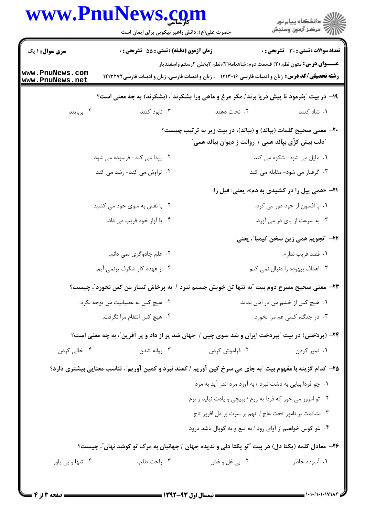|                                    | www.PnuNews.com<br>حضرت علی(ع): دانش راهبر نیکویی برای ایمان است                                            |                                                                                                                                | ر<br>دانشڪاه پيام نور<br>∥7 مرڪز آزمون وسنڊش   |
|------------------------------------|-------------------------------------------------------------------------------------------------------------|--------------------------------------------------------------------------------------------------------------------------------|------------------------------------------------|
| <b>سری سوال :</b> ۱ یک             | <b>زمان آزمون (دقیقه) : تستی : 55 تشریحی : 0</b>                                                            |                                                                                                                                | <b>تعداد سوالات : تستی : 30 ٪ تشریحی : 0</b>   |
| www.PnuNews.com<br>www.PnuNews.net | <b>رشته تحصیلی/کد درس:</b> زبان و ادبیات فارسی ۱۲۱۳۰۱۶ - ، زبان و ادبیات فارسی، زبان و ادبیات فارسی ۱۲۱۳۲۷۲ | <b>عنــــوان درس:</b> متون نظم (٢) قسمت دوم: شاهنامه(٢)،نظم ٢بخش ٢رستم واسفنديار                                               |                                                |
|                                    | ۱۹- در بیت "بفرمود تا پیش دریا برند/ مگر مرغ و ماهی ورا بشکرند"، (بشکرند) به چه معنی است؟                   |                                                                                                                                |                                                |
| ۰۴ بربايند                         | ۰۳ نابود کنند                                                                                               | ۰۲ نجات دهند                                                                                                                   | ۰۱ شاد کنند                                    |
|                                    |                                                                                                             | +۲- معنی صحیح کلمات (بپالد) و (ببالد)، در بیت زیر به ترتیب چیست؟<br><i>"د</i> لت بیش کژّی بپالد همی / روانت ز دیوان ببالد همی" |                                                |
|                                    | ۲. پیدا می کند- فرسوده می شود                                                                               |                                                                                                                                | ۰۱ مایل می شود- شکوه می کند                    |
|                                    | ۰۴ تراوش می کند- رشد می کند                                                                                 |                                                                                                                                | ۰۳ گرفتار می شود- مقابله می کند                |
|                                    |                                                                                                             |                                                                                                                                | ۲۱– «همی پیل را در کشیدی به دم»، یعنی: فیل را: |
|                                    | ۰۲ با نفس به سوی خود می کشید.                                                                               |                                                                                                                                | ۰۱ با افسون از خود دور می کرد.                 |
|                                    | ۰۴ با آواز خود فریب می داد.                                                                                 |                                                                                                                                | ۰۳ به سرعت از پای در می آورد.                  |
|                                    |                                                                                                             |                                                                                                                                | ٢٢- ″نجويم همي زين سخن كيميا″، يعني:           |
|                                    | ۰۲ علم جادوگری نمی دانم.                                                                                    |                                                                                                                                | ٠١ قصد فريب ندارم.                             |
|                                    | ۰۴ از عهده کار شگرف برنمی آیم.                                                                              |                                                                                                                                | ۰۳ اهداف بیهوده را دنبال نمی کنم.              |
|                                    | ٢٣- معنی صحیح مصرع دوم بیت آبه تنها تن خویش جستم نبرد / به پرخاش تیمار من کس نخورد"، چیست؟                  |                                                                                                                                |                                                |
|                                    | ۰۲ هيچ کس به عصبانيت من توجه نکرد.                                                                          | ٠١ هيچ كس از خشم من در امان نماند.                                                                                             |                                                |
|                                    | ۰۴ هيچ كس انتقام مرا نگرفت.                                                                                 | ۰۳ در جنگ، کسی غم مرا نخورد.                                                                                                   |                                                |
|                                    | <b>۲۴</b> – (پردَختن) در بیت آبپردخت ایران و شد سوی چین / جهان شد پر از داد و پر آفرین ّ، به چه معنی است؟   |                                                                                                                                |                                                |
| ۰۴ خالي کردن                       | ۰۳ روانه شدن                                                                                                | ۰۲ فراموش کردن                                                                                                                 | ۰۱ تميز کردن                                   |
|                                    | ۲۵- کدام گزینه با مفهوم بیت آبه جای می سرخ کین آوریم / کمند نبرد و کمین آوریم"، تناسب معنایی بیشتری دارد؟   |                                                                                                                                |                                                |
|                                    |                                                                                                             | ۰۱ چو فردا بیایی به دشت نبرد / به آورد مرد اندر آید به مرد                                                                     |                                                |
|                                    |                                                                                                             | ۰۲ تو امروز می خور که فردا به رزم / بپیچی و یادت نیاید ز بزم                                                                   |                                                |
|                                    |                                                                                                             | ٠٣ نشانمت بر نامور تخت عاج / نهم بر سرت بر دل افروز تاج                                                                        |                                                |
|                                    |                                                                                                             | ۰۴ غَو کوس خواهیم از آوای رود / به تیغ و به گوپال باشد درود                                                                    |                                                |
|                                    | ۲۶– معادل کلمه (یکتا دل) در بیت "تو یکتا دلی و ندیده جهان / جهانبان به مرگ تو کوشد نهان"، چیست؟             |                                                                                                                                |                                                |
| ۰۴ تنها و بي ياور                  | ۰۳ راحت طلب                                                                                                 | ۰۲ بي غل و غش                                                                                                                  | ۰۱ آسوده خاطر                                  |